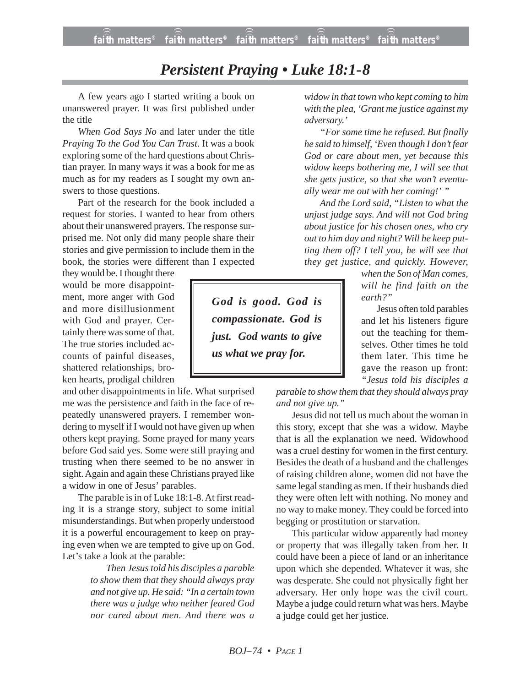**faith matters® faith matters® faith matters® faith matters® faith matters®** ))) ))) ))) ))) )))

## *Persistent Praying • Luke 18:1-8*

A few years ago I started writing a book on unanswered prayer. It was first published under the title

*When God Says No* and later under the title *Praying To the God You Can Trust*. It was a book exploring some of the hard questions about Christian prayer. In many ways it was a book for me as much as for my readers as I sought my own answers to those questions.

Part of the research for the book included a request for stories. I wanted to hear from others about their unanswered prayers. The response surprised me. Not only did many people share their stories and give permission to include them in the book, the stories were different than I expected

they would be. I thought there would be more disappointment, more anger with God and more disillusionment with God and prayer. Certainly there was some of that. The true stories included accounts of painful diseases, shattered relationships, broken hearts, prodigal children

and other disappointments in life. What surprised me was the persistence and faith in the face of repeatedly unanswered prayers. I remember wondering to myself if I would not have given up when others kept praying. Some prayed for many years before God said yes. Some were still praying and trusting when there seemed to be no answer in sight. Again and again these Christians prayed like a widow in one of Jesus' parables.

The parable is in of Luke 18:1-8. At first reading it is a strange story, subject to some initial misunderstandings. But when properly understood it is a powerful encouragement to keep on praying even when we are tempted to give up on God. Let's take a look at the parable:

> *Then Jesus told his disciples a parable to show them that they should always pray and not give up. He said: "In a certain town there was a judge who neither feared God nor cared about men. And there was a*

*widow in that town who kept coming to him with the plea, 'Grant me justice against my adversary.'*

*"For some time he refused. But finally he said to himself, 'Even though I don't fear God or care about men, yet because this widow keeps bothering me, I will see that she gets justice, so that she won't eventually wear me out with her coming!' "*

*And the Lord said, "Listen to what the unjust judge says. And will not God bring about justice for his chosen ones, who cry out to him day and night? Will he keep putting them off? I tell you, he will see that they get justice, and quickly. However,*

> *when the Son of Man comes, will he find faith on the earth?"*

> Jesus often told parables and let his listeners figure out the teaching for themselves. Other times he told them later. This time he gave the reason up front: *"Jesus told his disciples a*

*parable to show them that they should always pray and not give up."*

Jesus did not tell us much about the woman in this story, except that she was a widow. Maybe that is all the explanation we need. Widowhood was a cruel destiny for women in the first century. Besides the death of a husband and the challenges of raising children alone, women did not have the same legal standing as men. If their husbands died they were often left with nothing. No money and no way to make money. They could be forced into begging or prostitution or starvation.

This particular widow apparently had money or property that was illegally taken from her. It could have been a piece of land or an inheritance upon which she depended. Whatever it was, she was desperate. She could not physically fight her adversary. Her only hope was the civil court. Maybe a judge could return what was hers. Maybe a judge could get her justice.

*God is good. God is compassionate. God is just. God wants to give us what we pray for.*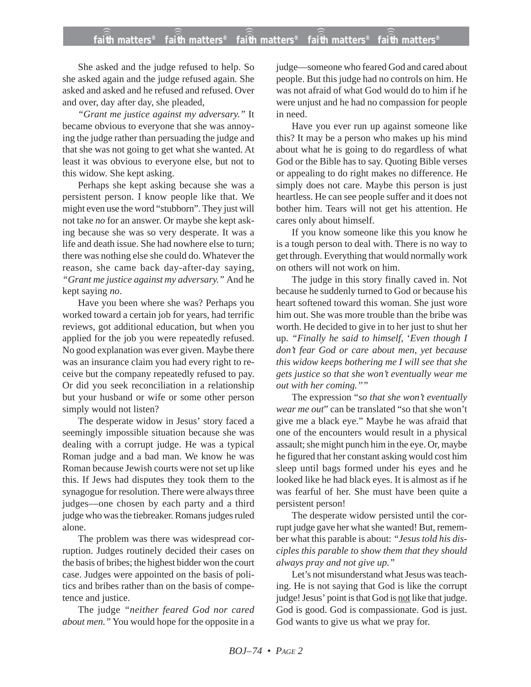She asked and the judge refused to help. So she asked again and the judge refused again. She asked and asked and he refused and refused. Over and over, day after day, she pleaded,

*"Grant me justice against my adversary."* It became obvious to everyone that she was annoying the judge rather than persuading the judge and that she was not going to get what she wanted. At least it was obvious to everyone else, but not to this widow. She kept asking.

Perhaps she kept asking because she was a persistent person. I know people like that. We might even use the word "stubborn". They just will not take *no* for an answer. Or maybe she kept asking because she was so very desperate. It was a life and death issue. She had nowhere else to turn; there was nothing else she could do. Whatever the reason, she came back day-after-day saying, *"Grant me justice against my adversary."* And he kept saying *no*.

Have you been where she was? Perhaps you worked toward a certain job for years, had terrific reviews, got additional education, but when you applied for the job you were repeatedly refused. No good explanation was ever given. Maybe there was an insurance claim you had every right to receive but the company repeatedly refused to pay. Or did you seek reconciliation in a relationship but your husband or wife or some other person simply would not listen?

The desperate widow in Jesus' story faced a seemingly impossible situation because she was dealing with a corrupt judge. He was a typical Roman judge and a bad man. We know he was Roman because Jewish courts were not set up like this. If Jews had disputes they took them to the synagogue for resolution. There were always three judges—one chosen by each party and a third judge who was the tiebreaker. Romans judges ruled alone.

The problem was there was widespread corruption. Judges routinely decided their cases on the basis of bribes; the highest bidder won the court case. Judges were appointed on the basis of politics and bribes rather than on the basis of competence and justice.

The judge *"neither feared God nor cared about men."* You would hope for the opposite in a

judge—someone who feared God and cared about people. But this judge had no controls on him. He was not afraid of what God would do to him if he were unjust and he had no compassion for people in need.

Have you ever run up against someone like this? It may be a person who makes up his mind about what he is going to do regardless of what God or the Bible has to say. Quoting Bible verses or appealing to do right makes no difference. He simply does not care. Maybe this person is just heartless. He can see people suffer and it does not bother him. Tears will not get his attention. He cares only about himself.

If you know someone like this you know he is a tough person to deal with. There is no way to get through. Everything that would normally work on others will not work on him.

The judge in this story finally caved in. Not because he suddenly turned to God or because his heart softened toward this woman. She just wore him out. She was more trouble than the bribe was worth. He decided to give in to her just to shut her up. *"Finally he said to himself,* '*Even though I don't fear God or care about men, yet because this widow keeps bothering me I will see that she gets justice so that she won't eventually wear me out with her coming.''"*

The expression "*so that she won't eventually wear me out*" can be translated "so that she won't give me a black eye." Maybe he was afraid that one of the encounters would result in a physical assault; she might punch him in the eye. Or, maybe he figured that her constant asking would cost him sleep until bags formed under his eyes and he looked like he had black eyes. It is almost as if he was fearful of her. She must have been quite a persistent person!

The desperate widow persisted until the corrupt judge gave her what she wanted! But, remember what this parable is about: *"Jesus told his disciples this parable to show them that they should always pray and not give up."*

Let's not misunderstand what Jesus was teaching. He is not saying that God is like the corrupt judge! Jesus' point is that God is not like that judge. God is good. God is compassionate. God is just. God wants to give us what we pray for.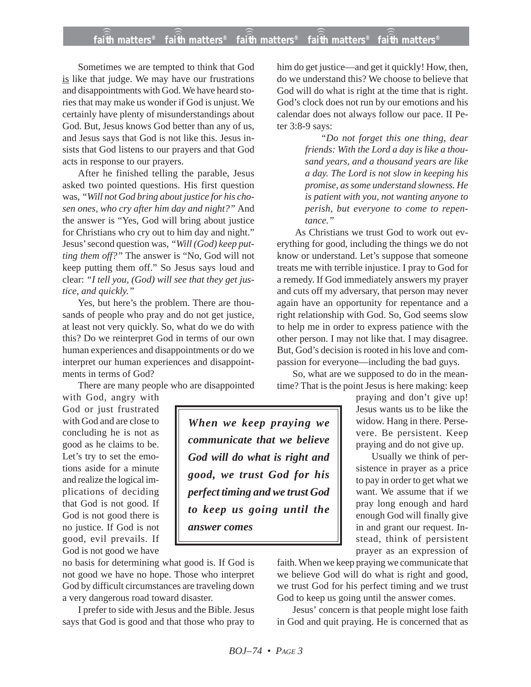## **faith matters® faith matters® faith matters® faith matters® faith matters®** ))) ))) ))) ))) )))

Sometimes we are tempted to think that God is like that judge. We may have our frustrations and disappointments with God. We have heard stories that may make us wonder if God is unjust. We certainly have plenty of misunderstandings about God. But, Jesus knows God better than any of us, and Jesus says that God is not like this. Jesus insists that God listens to our prayers and that God acts in response to our prayers.

After he finished telling the parable, Jesus asked two pointed questions. His first question was, *"Will not God bring about justice for his chosen ones, who cry after him day and night?"* And the answer is "Yes, God will bring about justice for Christians who cry out to him day and night." Jesus' second question was, *"Will (God) keep putting them off?"* The answer is "No, God will not keep putting them off." So Jesus says loud and clear: *"I tell you, (God) will see that they get justice, and quickly."*

Yes, but here's the problem. There are thousands of people who pray and do not get justice, at least not very quickly. So, what do we do with this? Do we reinterpret God in terms of our own human experiences and disappointments or do we interpret our human experiences and disappointments in terms of God?

There are many people who are disappointed

with God, angry with God or just frustrated with God and are close to concluding he is not as good as he claims to be. Let's try to set the emotions aside for a minute and realize the logical implications of deciding that God is not good. If God is not good there is no justice. If God is not good, evil prevails. If God is not good we have

no basis for determining what good is. If God is not good we have no hope. Those who interpret God by difficult circumstances are traveling down a very dangerous road toward disaster.

I prefer to side with Jesus and the Bible. Jesus says that God is good and that those who pray to

him do get justice—and get it quickly! How, then, do we understand this? We choose to believe that God will do what is right at the time that is right. God's clock does not run by our emotions and his calendar does not always follow our pace. II Peter 3:8-9 says:

> *"Do not forget this one thing, dear friends: With the Lord a day is like a thousand years, and a thousand years are like a day. The Lord is not slow in keeping his promise, as some understand slowness. He is patient with you, not wanting anyone to perish, but everyone to come to repentance."*

 As Christians we trust God to work out everything for good, including the things we do not know or understand. Let's suppose that someone treats me with terrible injustice. I pray to God for a remedy. If God immediately answers my prayer and cuts off my adversary, that person may never again have an opportunity for repentance and a right relationship with God. So, God seems slow to help me in order to express patience with the other person. I may not like that. I may disagree. But, God's decision is rooted in his love and compassion for everyone—including the bad guys.

So, what are we supposed to do in the meantime? That is the point Jesus is here making: keep

> praying and don't give up! Jesus wants us to be like the widow. Hang in there. Persevere. Be persistent. Keep praying and do not give up.

> Usually we think of persistence in prayer as a price to pay in order to get what we want. We assume that if we pray long enough and hard enough God will finally give in and grant our request. Instead, think of persistent prayer as an expression of

faith. When we keep praying we communicate that we believe God will do what is right and good, we trust God for his perfect timing and we trust God to keep us going until the answer comes.

Jesus' concern is that people might lose faith in God and quit praying. He is concerned that as

*When we keep praying we communicate that we believe God will do what is right and good, we trust God for his perfect timing and we trust God to keep us going until the answer comes*